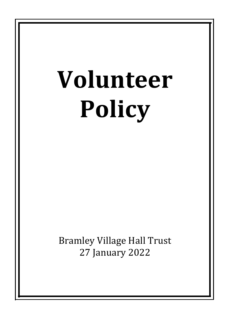# **Volunteer Policy**

**Bramley Village Hall Trust** 27 January 2022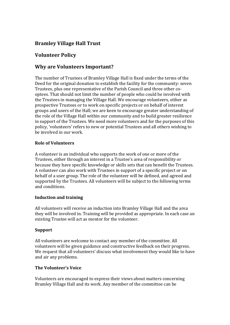# **Bramley Village Hall Trust**

# **Volunteer Policy**

# **Why are Volunteers Important?**

The number of Trustees of Bramley Village Hall is fixed under the terms of the Deed for the original donation to establish the facility for the community: seven Trustees, plus one representative of the Parish Council and three other cooptees. That should not limit the number of people who could be involved with the Trustees in managing the Village Hall. We encourage volunteers, either as prospective Trustees or to work on specific projects or on behalf of interest groups and users of the Hall; we are keen to encourage greater understanding of the role of the Village Hall within our community and to build greater resilience in support of the Trustees. We need more volunteers and for the purposes of this policy, 'volunteers' refers to new or potential Trustees and all others wishing to be involved in our work.

## **Role of Volunteers**

A volunteer is an individual who supports the work of one or more of the Trustees, either through an interest in a Trustee's area of responsibility or because they have specific knowledge or skills sets that can benefit the Trustees. A volunteer can also work with Trustees in support of a specific project or on behalf of a user group. The role of the volunteer will be defined, and agreed and supported by the Trustees. All volunteers will be subject to the following terms and conditions.

# **Induction and training**

All volunteers will receive an induction into Bramley Village Hall and the area they will be involved in. Training will be provided as appropriate. In each case an existing Trustee will act as mentor for the volunteer.

### **Support**

All volunteers are welcome to contact any member of the committee. All volunteers will be given guidance and constructive feedback on their progress. We request that all volunteers' discuss what involvement they would like to have and air any problems.

# **The Volunteer's Voice**

Volunteers are encouraged to express their views about matters concerning Bramley Village Hall and its work. Any member of the committee can be